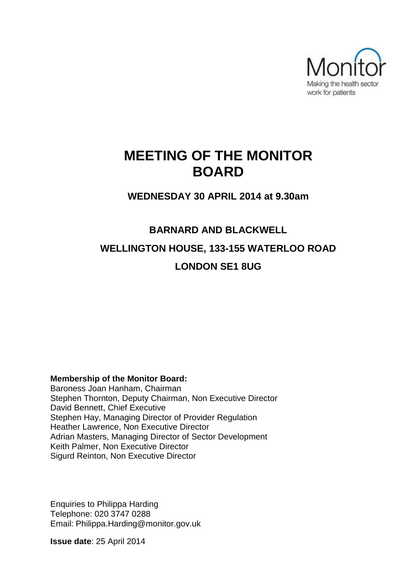

## **MEETING OF THE MONITOR BOARD**

**WEDNESDAY 30 APRIL 2014 at 9.30am**

# **BARNARD AND BLACKWELL WELLINGTON HOUSE, 133-155 WATERLOO ROAD LONDON SE1 8UG**

#### **Membership of the Monitor Board:**

Baroness Joan Hanham, Chairman Stephen Thornton, Deputy Chairman, Non Executive Director David Bennett, Chief Executive Stephen Hay, Managing Director of Provider Regulation Heather Lawrence, Non Executive Director Adrian Masters, Managing Director of Sector Development Keith Palmer, Non Executive Director Sigurd Reinton, Non Executive Director

Enquiries to Philippa Harding Telephone: 020 3747 0288 Email: Philippa.Harding@monitor.gov.uk

**Issue date**: 25 April 2014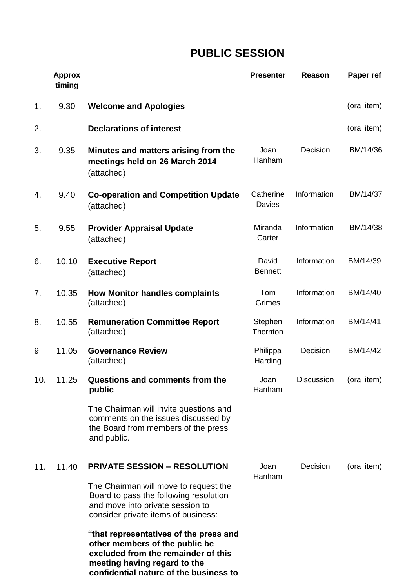## **PUBLIC SESSION**

|                | <b>Approx</b><br>timing |                                                                                                                                                                                                   | <b>Presenter</b>        | <b>Reason</b>          | Paper ref   |
|----------------|-------------------------|---------------------------------------------------------------------------------------------------------------------------------------------------------------------------------------------------|-------------------------|------------------------|-------------|
| 1 <sub>1</sub> | 9.30                    | <b>Welcome and Apologies</b>                                                                                                                                                                      |                         |                        | (oral item) |
| 2.             |                         | <b>Declarations of interest</b>                                                                                                                                                                   |                         |                        | (oral item) |
| 3.             | 9.35                    | Minutes and matters arising from the<br>meetings held on 26 March 2014<br>(attached)                                                                                                              | Joan<br>Hanham          | Decision               | BM/14/36    |
| 4.             | 9.40                    | <b>Co-operation and Competition Update</b><br>(attached)                                                                                                                                          | Catherine<br>Davies     | Information            | BM/14/37    |
| 5.             | 9.55                    | <b>Provider Appraisal Update</b><br>(attached)                                                                                                                                                    | Miranda<br>Carter       | Information            | BM/14/38    |
| 6.             | 10.10                   | <b>Executive Report</b><br>(attached)                                                                                                                                                             | David<br><b>Bennett</b> | Information            | BM/14/39    |
| 7.             | 10.35                   | <b>How Monitor handles complaints</b><br>(attached)                                                                                                                                               | Tom<br>Grimes           | Information            | BM/14/40    |
| 8.             | 10.55                   | <b>Remuneration Committee Report</b><br>(attached)                                                                                                                                                | Stephen<br>Thornton     | Information            | BM/14/41    |
| 9              | 11.05                   | <b>Governance Review</b><br>(attached)                                                                                                                                                            | Philippa<br>Harding     | Decision               | BM/14/42    |
| 10.            | 11.25                   | Questions and comments from the<br>public                                                                                                                                                         | Joan<br>Hanham          | Discussion (oral item) |             |
|                |                         | The Chairman will invite questions and<br>comments on the issues discussed by<br>the Board from members of the press<br>and public.                                                               |                         |                        |             |
| 11.            | 11.40                   | <b>PRIVATE SESSION - RESOLUTION</b><br>The Chairman will move to request the<br>Board to pass the following resolution<br>and move into private session to<br>consider private items of business: | Joan<br>Hanham          | Decision               | (oral item) |
|                |                         | "that representatives of the press and<br>other members of the public be<br>excluded from the remainder of this<br>meeting having regard to the                                                   |                         |                        |             |

**confidential nature of the business to**